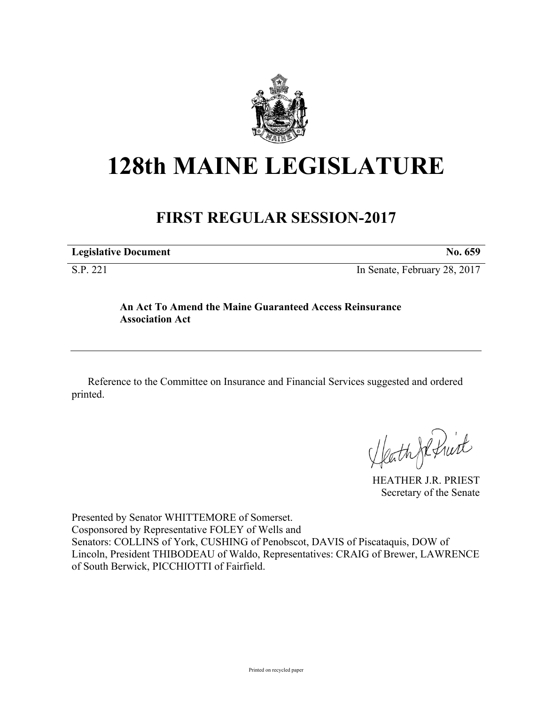

# **128th MAINE LEGISLATURE**

# **FIRST REGULAR SESSION-2017**

**Legislative Document No. 659** S.P. 221 In Senate, February 28, 2017

## **An Act To Amend the Maine Guaranteed Access Reinsurance Association Act**

Reference to the Committee on Insurance and Financial Services suggested and ordered printed.

HEATHER J.R. PRIEST

Secretary of the Senate

Presented by Senator WHITTEMORE of Somerset. Cosponsored by Representative FOLEY of Wells and Senators: COLLINS of York, CUSHING of Penobscot, DAVIS of Piscataquis, DOW of Lincoln, President THIBODEAU of Waldo, Representatives: CRAIG of Brewer, LAWRENCE of South Berwick, PICCHIOTTI of Fairfield.